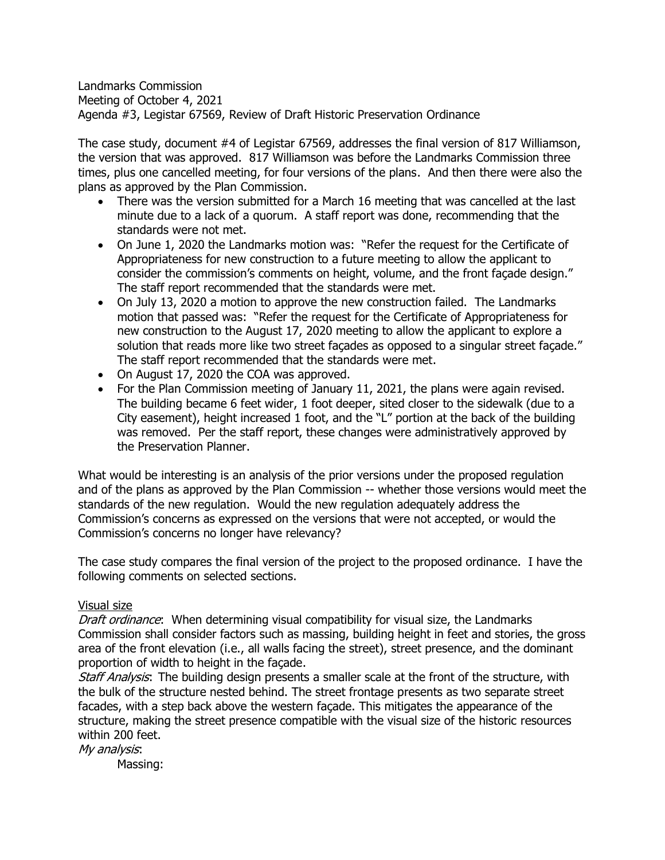Landmarks Commission Meeting of October 4, 2021 Agenda #3, Legistar 67569, Review of Draft Historic Preservation Ordinance

The case study, document #4 of Legistar 67569, addresses the final version of 817 Williamson, the version that was approved. 817 Williamson was before the Landmarks Commission three times, plus one cancelled meeting, for four versions of the plans. And then there were also the plans as approved by the Plan Commission.

- There was the version submitted for a March 16 meeting that was cancelled at the last minute due to a lack of a quorum. A staff report was done, recommending that the standards were not met.
- On June 1, 2020 the Landmarks motion was: "Refer the request for the Certificate of Appropriateness for new construction to a future meeting to allow the applicant to consider the commission's comments on height, volume, and the front façade design." The staff report recommended that the standards were met.
- On July 13, 2020 a motion to approve the new construction failed. The Landmarks motion that passed was: "Refer the request for the Certificate of Appropriateness for new construction to the August 17, 2020 meeting to allow the applicant to explore a solution that reads more like two street façades as opposed to a singular street façade." The staff report recommended that the standards were met.
- On August 17, 2020 the COA was approved.
- For the Plan Commission meeting of January 11, 2021, the plans were again revised. The building became 6 feet wider, 1 foot deeper, sited closer to the sidewalk (due to a City easement), height increased 1 foot, and the "L" portion at the back of the building was removed. Per the staff report, these changes were administratively approved by the Preservation Planner.

What would be interesting is an analysis of the prior versions under the proposed regulation and of the plans as approved by the Plan Commission -- whether those versions would meet the standards of the new regulation. Would the new regulation adequately address the Commission's concerns as expressed on the versions that were not accepted, or would the Commission's concerns no longer have relevancy?

The case study compares the final version of the project to the proposed ordinance. I have the following comments on selected sections.

## Visual size

Draft ordinance: When determining visual compatibility for visual size, the Landmarks Commission shall consider factors such as massing, building height in feet and stories, the gross area of the front elevation (i.e., all walls facing the street), street presence, and the dominant proportion of width to height in the façade.

Staff Analysis: The building design presents a smaller scale at the front of the structure, with the bulk of the structure nested behind. The street frontage presents as two separate street facades, with a step back above the western façade. This mitigates the appearance of the structure, making the street presence compatible with the visual size of the historic resources within 200 feet.

My analysis: Massing: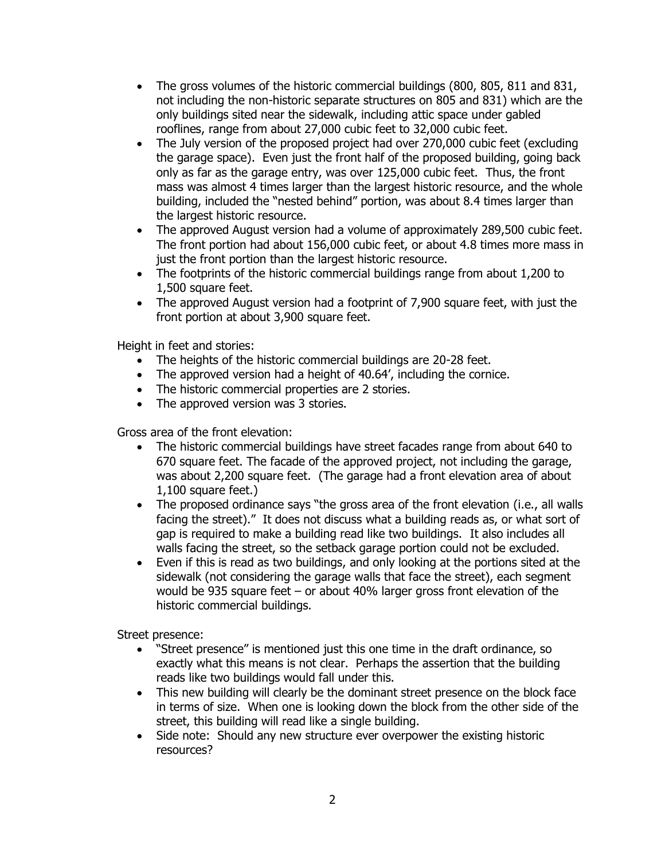- The gross volumes of the historic commercial buildings (800, 805, 811 and 831, not including the non-historic separate structures on 805 and 831) which are the only buildings sited near the sidewalk, including attic space under gabled rooflines, range from about 27,000 cubic feet to 32,000 cubic feet.
- The July version of the proposed project had over 270,000 cubic feet (excluding the garage space). Even just the front half of the proposed building, going back only as far as the garage entry, was over 125,000 cubic feet. Thus, the front mass was almost 4 times larger than the largest historic resource, and the whole building, included the "nested behind" portion, was about 8.4 times larger than the largest historic resource.
- The approved August version had a volume of approximately 289,500 cubic feet. The front portion had about 156,000 cubic feet, or about 4.8 times more mass in just the front portion than the largest historic resource.
- The footprints of the historic commercial buildings range from about 1,200 to 1,500 square feet.
- The approved August version had a footprint of 7,900 square feet, with just the front portion at about 3,900 square feet.

Height in feet and stories:

- The heights of the historic commercial buildings are 20-28 feet.
- The approved version had a height of 40.64', including the cornice.
- The historic commercial properties are 2 stories.
- The approved version was 3 stories.

Gross area of the front elevation:

- The historic commercial buildings have street facades range from about 640 to 670 square feet. The facade of the approved project, not including the garage, was about 2,200 square feet. (The garage had a front elevation area of about 1,100 square feet.)
- The proposed ordinance says "the gross area of the front elevation (i.e., all walls facing the street)." It does not discuss what a building reads as, or what sort of gap is required to make a building read like two buildings. It also includes all walls facing the street, so the setback garage portion could not be excluded.
- Even if this is read as two buildings, and only looking at the portions sited at the sidewalk (not considering the garage walls that face the street), each segment would be 935 square feet – or about 40% larger gross front elevation of the historic commercial buildings.

Street presence:

- "Street presence" is mentioned just this one time in the draft ordinance, so exactly what this means is not clear. Perhaps the assertion that the building reads like two buildings would fall under this.
- This new building will clearly be the dominant street presence on the block face in terms of size. When one is looking down the block from the other side of the street, this building will read like a single building.
- Side note: Should any new structure ever overpower the existing historic resources?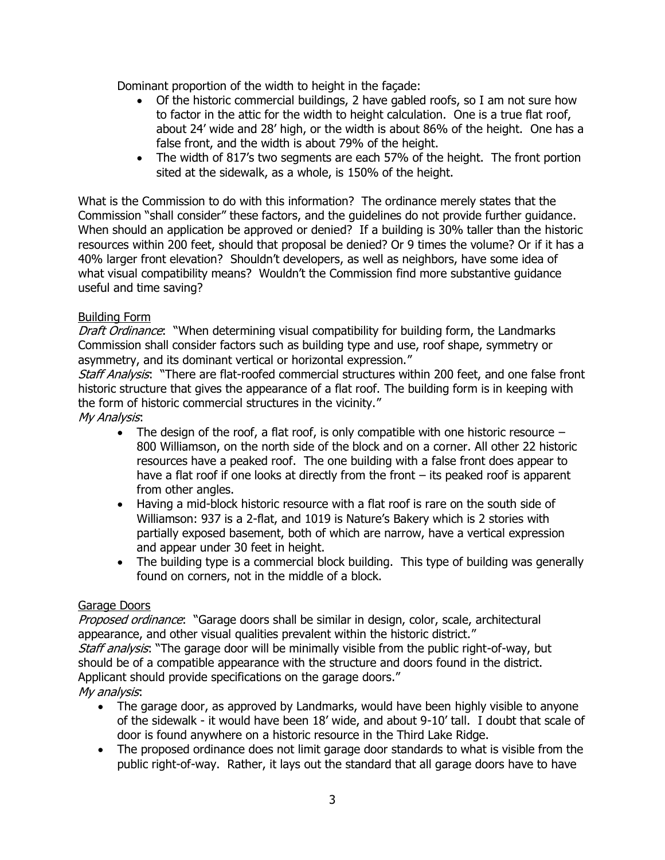Dominant proportion of the width to height in the façade:

- Of the historic commercial buildings, 2 have gabled roofs, so I am not sure how to factor in the attic for the width to height calculation. One is a true flat roof, about 24' wide and 28' high, or the width is about 86% of the height. One has a false front, and the width is about 79% of the height.
- The width of 817's two segments are each 57% of the height. The front portion sited at the sidewalk, as a whole, is 150% of the height.

What is the Commission to do with this information? The ordinance merely states that the Commission "shall consider" these factors, and the guidelines do not provide further guidance. When should an application be approved or denied? If a building is 30% taller than the historic resources within 200 feet, should that proposal be denied? Or 9 times the volume? Or if it has a 40% larger front elevation? Shouldn't developers, as well as neighbors, have some idea of what visual compatibility means? Wouldn't the Commission find more substantive guidance useful and time saving?

## Building Form

Draft Ordinance: "When determining visual compatibility for building form, the Landmarks Commission shall consider factors such as building type and use, roof shape, symmetry or asymmetry, and its dominant vertical or horizontal expression."

Staff Analysis: "There are flat-roofed commercial structures within 200 feet, and one false front historic structure that gives the appearance of a flat roof. The building form is in keeping with the form of historic commercial structures in the vicinity."

My Analysis:

- The design of the roof, a flat roof, is only compatible with one historic resource  $-$ 800 Williamson, on the north side of the block and on a corner. All other 22 historic resources have a peaked roof. The one building with a false front does appear to have a flat roof if one looks at directly from the front – its peaked roof is apparent from other angles.
- Having a mid-block historic resource with a flat roof is rare on the south side of Williamson: 937 is a 2-flat, and 1019 is Nature's Bakery which is 2 stories with partially exposed basement, both of which are narrow, have a vertical expression and appear under 30 feet in height.
- The building type is a commercial block building. This type of building was generally found on corners, not in the middle of a block.

## Garage Doors

Proposed ordinance: "Garage doors shall be similar in design, color, scale, architectural appearance, and other visual qualities prevalent within the historic district." Staff analysis: "The garage door will be minimally visible from the public right-of-way, but should be of a compatible appearance with the structure and doors found in the district. Applicant should provide specifications on the garage doors." My analysis:

- The garage door, as approved by Landmarks, would have been highly visible to anyone of the sidewalk - it would have been 18' wide, and about 9-10' tall. I doubt that scale of door is found anywhere on a historic resource in the Third Lake Ridge.
- The proposed ordinance does not limit garage door standards to what is visible from the public right-of-way. Rather, it lays out the standard that all garage doors have to have